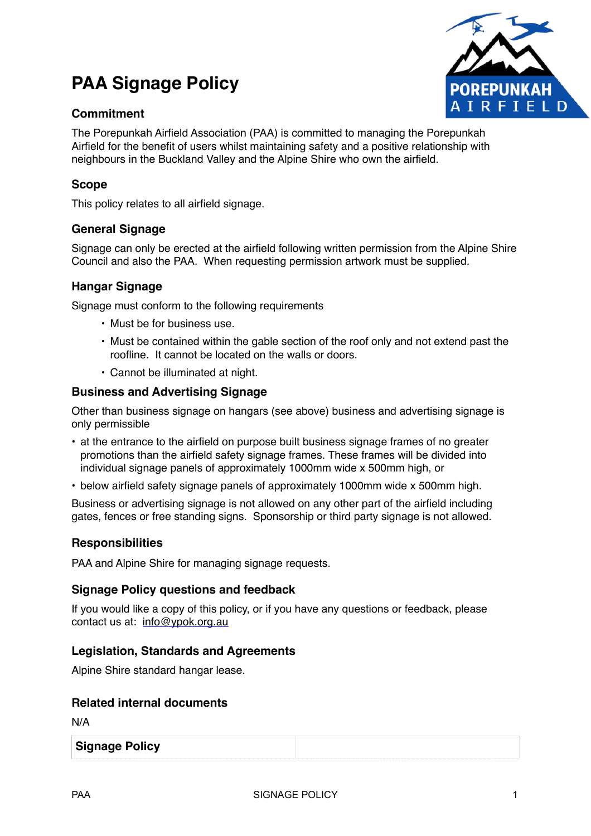# **PAA Signage Policy**

# **Commitment**



The Porepunkah Airfield Association (PAA) is committed to managing the Porepunkah Airfield for the benefit of users whilst maintaining safety and a positive relationship with neighbours in the Buckland Valley and the Alpine Shire who own the airfield.

# **Scope**

This policy relates to all airfield signage.

# **General Signage**

Signage can only be erected at the airfield following written permission from the Alpine Shire Council and also the PAA. When requesting permission artwork must be supplied.

## **Hangar Signage**

Signage must conform to the following requirements

- Must be for business use.
- Must be contained within the gable section of the roof only and not extend past the roofline. It cannot be located on the walls or doors.
- Cannot be illuminated at night.

#### **Business and Advertising Signage**

Other than business signage on hangars (see above) business and advertising signage is only permissible

• at the entrance to the airfield on purpose built business signage frames of no greater promotions than the airfield safety signage frames. These frames will be divided into individual signage panels of approximately 1000mm wide x 500mm high, or

• below airfield safety signage panels of approximately 1000mm wide x 500mm high.

Business or advertising signage is not allowed on any other part of the airfield including gates, fences or free standing signs. Sponsorship or third party signage is not allowed.

## **Responsibilities**

PAA and Alpine Shire for managing signage requests.

#### **Signage Policy questions and feedback**

If you would like a copy of this policy, or if you have any questions or feedback, please contact us at: [info@ypok.org.au](mailto:info@ypok.org.au)

## **Legislation, Standards and Agreements**

Alpine Shire standard hangar lease.

#### **Related internal documents**

N/A

#### **Signage Policy**